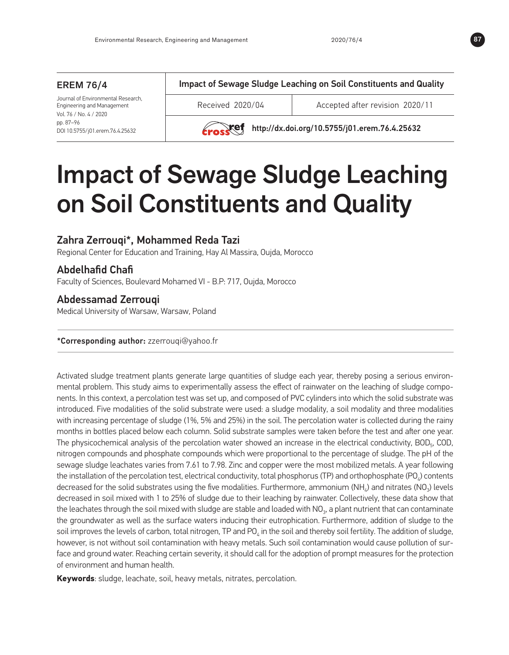#### EREM 76/4 Journal of Environmental Research, Engineering and Management Vol. 76 / No. 4 / 2020 pp. 87*–*96 DOI 10.5755/j01.erem.76.4.25632 Impact of Sewage Sludge Leaching on Soil Constituents and Quality Received 2020/04 Accepted after revision 2020/11  $Xef$  http://dx.doi.org/10.5755/j01.erem.76.4.25632



# Zahra Zerrouqi\*, Mohammed Reda Tazi

Regional Center for Education and Training, Hay Al Massira, Oujda, Morocco

# Abdelhafid Chafi

Faculty of Sciences, Boulevard Mohamed VI - B.P: 717, Oujda, Morocco

# Abdessamad Zerrouqi

Medical University of Warsaw, Warsaw, Poland

### \*Corresponding author: [zzerrouqi@yahoo.fr](mailto:zzerrouqi@yahoo.fr)

Activated sludge treatment plants generate large quantities of sludge each year, thereby posing a serious environmental problem. This study aims to experimentally assess the effect of rainwater on the leaching of sludge components. In this context, a percolation test was set up, and composed of PVC cylinders into which the solid substrate was introduced. Five modalities of the solid substrate were used: a sludge modality, a soil modality and three modalities with increasing percentage of sludge (1%, 5% and 25%) in the soil. The percolation water is collected during the rainy months in bottles placed below each column. Solid substrate samples were taken before the test and after one year. The physicochemical analysis of the percolation water showed an increase in the electrical conductivity,  $BOD<sub>5</sub>$ , COD, nitrogen compounds and phosphate compounds which were proportional to the percentage of sludge. The pH of the sewage sludge leachates varies from 7.61 to 7.98. Zinc and copper were the most mobilized metals. A year following the installation of the percolation test, electrical conductivity, total phosphorus (TP) and orthophosphate (PO $_a$ ) contents decreased for the solid substrates using the five modalities. Furthermore, ammonium (NH<sub>4</sub>) and nitrates (NO<sub>3</sub>) levels decreased in soil mixed with 1 to 25% of sludge due to their leaching by rainwater. Collectively, these data show that the leachates through the soil mixed with sludge are stable and loaded with  $NO<sub>3</sub>$ , a plant nutrient that can contaminate the groundwater as well as the surface waters inducing their eutrophication. Furthermore, addition of sludge to the soil improves the levels of carbon, total nitrogen, TP and PO<sub> $_A$ </sub> in the soil and thereby soil fertility. The addition of sludge, however, is not without soil contamination with heavy metals. Such soil contamination would cause pollution of surface and ground water. Reaching certain severity, it should call for the adoption of prompt measures for the protection of environment and human health.

**Keywords**: sludge, leachate, soil, heavy metals, nitrates, percolation.

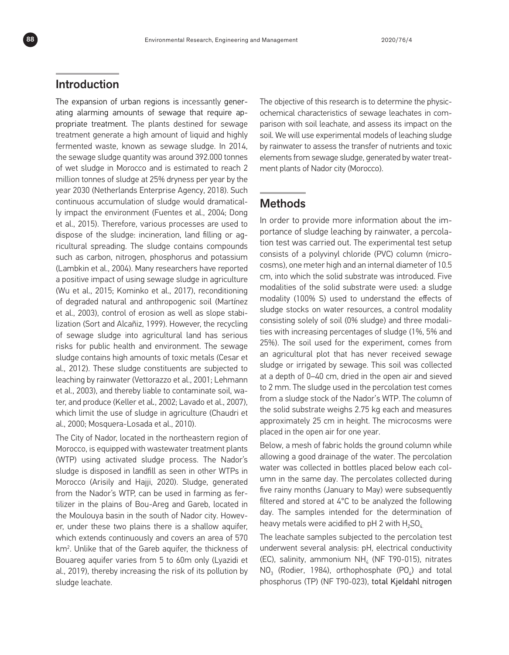# Introduction

The expansion of urban regions is incessantly generating alarming amounts of sewage that require appropriate treatment. The plants destined for sewage treatment generate a high amount of liquid and highly fermented waste, known as sewage sludge. In 2014, the sewage sludge quantity was around 392.000 tonnes of wet sludge in Morocco and is estimated to reach 2 million tonnes of sludge at 25% dryness per year by the year 2030 (Netherlands Enterprise Agency, 2018). Such continuous accumulation of sludge would dramatically impact the environment (Fuentes et al., 2004; Dong et al., 2015). Therefore, various processes are used to dispose of the sludge: incineration, land filling or agricultural spreading. The sludge contains compounds such as carbon, nitrogen, phosphorus and potassium (Lambkin et al., 2004). Many researchers have reported a positive impact of using sewage sludge in agriculture (Wu et al., 2015; Kominko et al., 2017), reconditioning of degraded natural and anthropogenic soil (Martínez et al., 2003), control of erosion as well as slope stabilization (Sort and Alcañiz, 1999). However, the recycling of sewage sludge into agricultural land has serious risks for public health and environment. The sewage sludge contains high amounts of toxic metals (Cesar et al., 2012). These sludge constituents are subjected to leaching by rainwater (Vettorazzo et al., 2001; Lehmann et al., 2003), and thereby liable to contaminate soil, water, and produce (Keller et al*.*, 2002; Lavado et al., 2007), which limit the use of sludge in agriculture (Chaudri et al., 2000; Mosquera-Losada et al., 2010).

The City of Nador, located in the northeastern region of Morocco, is equipped with wastewater treatment plants (WTP) using activated sludge process. The Nador's sludge is disposed in landfill as seen in other WTPs in Morocco (Arisily and Hajji, 2020). Sludge, generated from the Nador's WTP, can be used in farming as fertilizer in the plains of Bou-Areg and Gareb, located in the Moulouya basin in the south of Nador city. However, under these two plains there is a shallow aquifer, which extends continuously and covers an area of 570 km<sup>2</sup>. Unlike that of the Gareb aquifer, the thickness of Bouareg aquifer varies from 5 to 60m only (Lyazidi et al., 2019), thereby increasing the risk of its pollution by sludge leachate.

The objective of this research is to determine the physicochemical characteristics of sewage leachates in comparison with soil leachate, and assess its impact on the soil. We will use experimental models of leaching sludge by rainwater to assess the transfer of nutrients and toxic elements from sewage sludge, generated by water treatment plants of Nador city (Morocco).

# **Methods**

In order to provide more information about the importance of sludge leaching by rainwater, a percolation test was carried out. The experimental test setup consists of a polyvinyl [chloride](https://dictionary.cambridge.org/fr/dictionnaire/anglais/chloride) (PVC) column (microcosms), one meter high and an internal diameter of 10.5 cm, into which the solid substrate was introduced. Five modalities of the solid substrate were used: a sludge modality (100% S) used to understand the effects of sludge stocks on water resources, a control modality consisting solely of soil (0% sludge) and three modalities with increasing percentages of sludge (1%, 5% and 25%). The soil used for the experiment, comes from an agricultural plot that has never received sewage sludge or irrigated by sewage. This soil was collected at a depth of 0–40 cm, dried in the open air and sieved to 2 mm. The sludge used in the percolation test comes from a sludge stock of the Nador's WTP. The column of the solid substrate weighs 2.75 kg each and measures approximately 25 cm in height. The microcosms were placed in the open air for one year.

Below, a mesh of fabric holds the ground column while allowing a good drainage of the water. The percolation water was collected in bottles placed below each column in the same day. The percolates collected during five rainy months (January to May) were subsequently filtered and stored at 4°C to be analyzed the following day. The samples intended for the determination of heavy metals were acidified to pH 2 with  $H_2SO_4$ .

The leachate samples subjected to the percolation test underwent several analysis: pH, electrical conductivity (EC), salinity, ammonium  $NH<sub>4</sub>$  (NF T90-015), nitrates  $NO<sub>3</sub>$  (Rodier, 1984), orthophosphate (PO<sub> $4$ </sub>) and total phosphorus (TP) (NF T90-023), total Kjeldahl nitrogen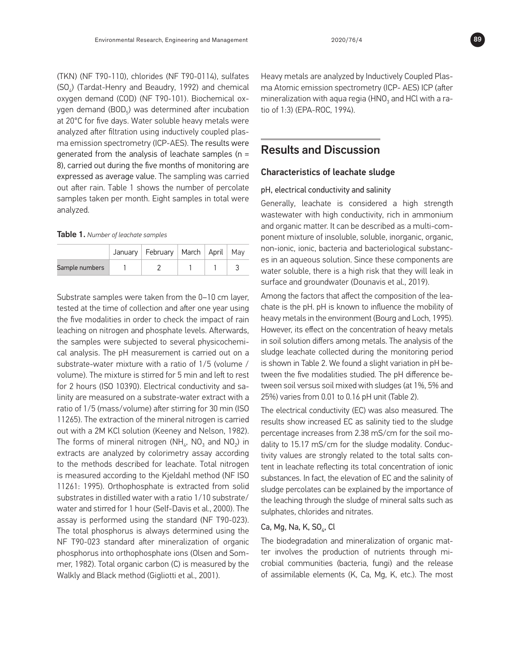(TKN) (NF T90-110), chlorides (NF T90-0114), sulfates (SO<sub>c</sub>) (Tardat-Henry and Beaudry, 1992) and chemical oxygen demand (COD) (NF T90-101). Biochemical oxygen demand (BOD<sub>5</sub>) was determined after incubation at 20°C for five days. Water soluble heavy metals were analyzed after filtration using inductively coupled plasma emission spectrometry (ICP-AES). The results were generated from the analysis of leachate samples (n = 8), carried out during the five months of monitoring are expressed as average value. The sampling was carried out after rain. Table 1 shows the number of percolate samples taken per month. Eight samples in total were analyzed.

| Table 1. Number of leachate samples |  |
|-------------------------------------|--|
|-------------------------------------|--|

|                | January   February   March   April   May |  |  |
|----------------|------------------------------------------|--|--|
| Sample numbers |                                          |  |  |

Substrate samples were taken from the 0–10 cm layer, tested at the time of collection and after one year using the five modalities in order to check the impact of rain leaching on nitrogen and phosphate levels. Afterwards, the samples were subjected to several physicochemical analysis. The pH measurement is carried out on a substrate-water mixture with a ratio of 1/5 (volume / volume). The mixture is stirred for 5 min and left to rest for 2 hours (ISO 10390). Electrical conductivity and salinity are measured on a substrate-water extract with a ratio of 1/5 (mass/volume) after stirring for 30 min (ISO 11265). The extraction of the mineral nitrogen is carried out with a 2M KCl solution (Keeney and Nelson, 1982). The forms of mineral nitrogen ( $NH_{4}$ ,  $NO_{3}$  and  $NO_{2}$ ) in extracts are analyzed by colorimetry assay according to the methods described for leachate. Total nitrogen is measured according to the Kjeldahl method (NF ISO 11261: 1995). Orthophosphate is extracted from solid substrates in distilled water with a ratio 1/10 substrate/ water and stirred for 1 hour (Self-Davis et al., 2000). The assay is performed using the standard (NF T90-023). The total phosphorus is always determined using the NF T90-023 standard after mineralization of organic phosphorus into orthophosphate ions (Olsen and Sommer, 1982). Total organic carbon (C) is measured by the Walkly and Black method (Gigliotti et al., 2001).

Heavy metals are analyzed by Inductively Coupled Plasma Atomic emission spectrometry (ICP- AES) ICP (after mineralization with aqua regia (HNO<sub>2</sub> and HCl with a ratio of 1:3) (EPA-ROC, 1994).

# Results and Discussion

### Characteristics of leachate sludge

### pH, electrical conductivity and salinity

Generally, leachate is considered a high strength wastewater with high conductivity, rich in ammonium and organic matter. It can be described as a multi-component mixture of insoluble, soluble, inorganic, organic, non-ionic, ionic, bacteria and bacteriological substances in an aqueous solution. Since these components are water soluble, there is a high risk that they will leak in surface and groundwater (Dounavis et al., 2019).

Among the factors that affect the composition of the leachate is the pH. pH is known to influence the mobility of heavy metals in the environment (Bourg and Loch, 1995). However, its effect on the concentration of heavy metals in soil solution differs among metals. The analysis of the sludge leachate collected during the monitoring period is shown in Table 2. We found a slight variation in pH between the five modalities studied. The pH difference between soil versus soil mixed with sludges (at 1%, 5% and 25%) varies from 0.01 to 0.16 pH unit (Table 2).

The electrical conductivity (EC) was also measured. The results show increased EC as salinity tied to the sludge percentage increases from 2.38 mS/cm for the soil modality to 15.17 mS/cm for the sludge modality. Conductivity values are strongly related to the total salts content in leachate reflecting its total concentration of ionic substances. In fact, the elevation of EC and the salinity of sludge percolates can be explained by the importance of the leaching through the sludge of mineral salts such as sulphates, chlorides and nitrates.

### Ca, Mg, Na, K, SO $<sub>4</sub>$ , Cl</sub>

The biodegradation and mineralization of organic matter involves the production of nutrients through microbial communities (bacteria, fungi) and the release of assimilable elements (K, Ca, Mg, K, etc.). The most

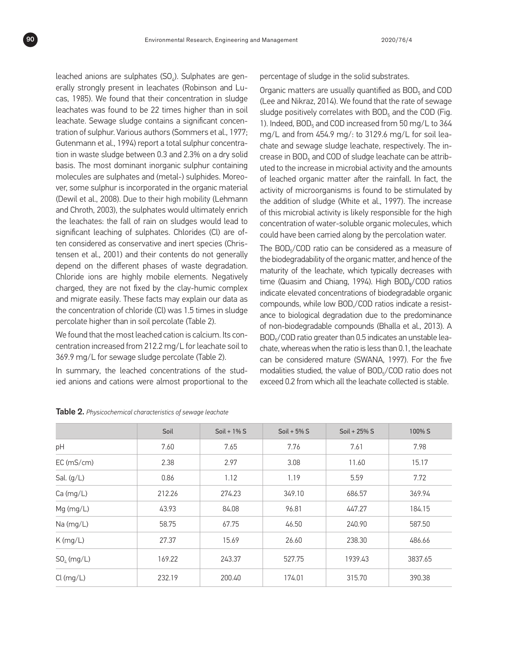leached anions are sulphates  $(SO_4)$ . Sulphates are generally strongly present in leachates (Robinson and Lucas, 1985). We found that their concentration in sludge leachates was found to be 22 times higher than in soil leachate. Sewage sludge contains a significant concentration of sulphur. Various authors (Sommers et al., 1977; Gutenmann et al., 1994) report a total sulphur concentration in waste sludge between 0.3 and 2.3% on a dry solid basis. The most dominant inorganic sulphur containing molecules are sulphates and (metal-) sulphides. Moreover, some sulphur is incorporated in the organic material (Dewil et al., 2008). Due to their high mobility (Lehmann and Chroth, 2003), the sulphates would ultimately enrich the leachates: the fall of rain on sludges would lead to significant leaching of sulphates. Chlorides (Cl) are often considered as conservative and inert species (Christensen et al., 2001) and their contents do not generally depend on the different phases of waste degradation. Chloride ions are highly mobile elements. Negatively charged, they are not fixed by the clay-humic complex and migrate easily. These facts may explain our data as the concentration of chloride (Cl) was 1.5 times in sludge percolate higher than in soil percolate (Table 2).

We found that the most leached cation is calcium. Its concentration increased from 212.2 mg/L for leachate soil to 369.9 mg/L for sewage sludge percolate (Table 2).

In summary, the leached concentrations of the studied anions and cations were almost proportional to the percentage of sludge in the solid substrates.

Organic matters are usually quantified as  $BOD<sub>5</sub>$  and COD (Lee and Nikraz, 2014). We found that the rate of sewage sludge positively correlates with  $BOD<sub>5</sub>$  and the COD (Fig. 1). Indeed,  $BOD<sub>5</sub>$  and COD increased from 50 mg/L to 364 mg/L and from 454.9 mg/: to 3129.6 mg/L for soil leachate and sewage sludge leachate, respectively. The increase in BOD<sub>5</sub> and COD of sludge leachate can be attributed to the increase in microbial activity and the amounts of leached organic matter after the rainfall. In fact, the activity of microorganisms is found to be stimulated by the addition of sludge (White et al., 1997). The increase of this microbial activity is likely responsible for the high concentration of water-soluble organic molecules, which could have been carried along by the percolation water.

The BOD<sub>5</sub>/COD ratio can be considered as a measure of the biodegradability of the organic matter, and hence of the maturity of the leachate, which typically decreases with time (Quasim and Chiang, 1994). High BOD<sub>5</sub>/COD ratios indicate elevated concentrations of biodegradable organic compounds, while low BOD,/COD ratios indicate a resistance to biological degradation due to the predominance of non-biodegradable compounds (Bhalla et al., 2013). A BOD5/COD ratio greater than 0.5 indicates an unstable leachate, whereas when the ratio is less than 0.1, the leachate can be considered mature (SWANA, 1997). For the five modalities studied, the value of BOD<sub>5</sub>/COD ratio does not exceed 0.2 from which all the leachate collected is stable.

|              | Soil   | Soil + $1\%$ S | Soil + $5\%$ S | Soil + $25\%$ S | 100% S  |
|--------------|--------|----------------|----------------|-----------------|---------|
| pH           | 7.60   | 7.65           | 7.76           | 7.61            | 7.98    |
| $EC$ (mS/cm) | 2.38   | 2.97           | 3.08           | 11.60           | 15.17   |
| Sal. $(g/L)$ | 0.86   | 1.12           | 1.19           | 5.59            | 7.72    |
| Ca (mg/L)    | 212.26 | 274.23         | 349.10         | 686.57          | 369.94  |
| $Mg$ (mg/L)  | 43.93  | 84.08          | 96.81          | 447.27          | 184.15  |
| Na (mg/L)    | 58.75  | 67.75          | 46.50          | 240.90          | 587.50  |
| K(mg/L)      | 27.37  | 15.69          | 26.60          | 238.30          | 486.66  |
| $SO4$ (mg/L) | 169.22 | 243.37         | 527.75         | 1939.43         | 3837.65 |
| Cl (mg/L)    | 232.19 | 200.40         | 174.01         | 315.70          | 390.38  |

Table 2. *Physicochemical characteristics of sewage leachate*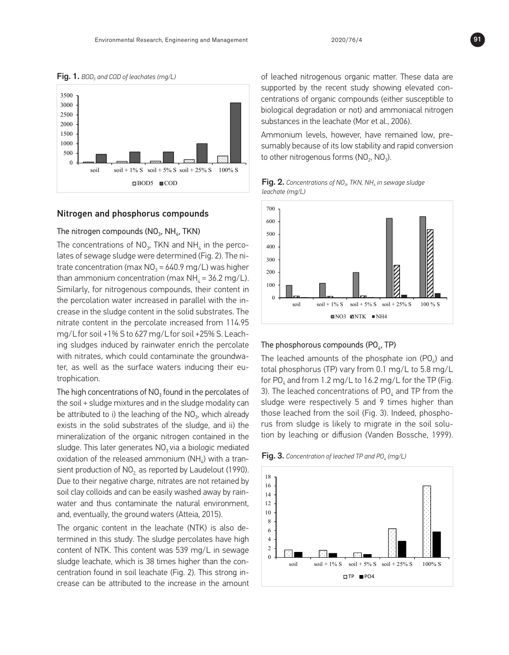



### 16 Nitrogen and phosphorus compounds Nitrogen and phosphorus compounds

# The nitrogen compounds (NO $_3$ , NH $_4$ , TKN)

The concentrations of NO<sub>3</sub>, TKN and NH<sub>4</sub> in the perco-  $\frac{1}{2}$ lates of sewage sludge were determined (Fig. 2). The ni-  $\begin{bmatrix} 1 & 0 & 0 \\ 0 & 0 & 0 \\ 0 & 0 & 0 \end{bmatrix}$  $22.2$  ammonium concentration (max NH4  $=$  36.2 mg/L). Similarly, for nitrogenous compounds, for  $n = 36.2$  mg/s  $\sim$  1.1 mg/s  $\sim$  1.1 mg/s  $\sim$  1.1 mg/s  $\sim$  1.1 mg/s  $\sim$  1.1 mg/s  $\sim$  1.1 mg/s  $\sim$  1.1 mg/s  $\sim$  1.1 mg trate concentration (max NO $_3$  = 640.9 mg/L) was higher in the slutge than ammonium concentration (max NH<sub>4</sub> = 36.2 mg/L).  $25$  mg/L for subsequence someounds their softent in  $\frac{1}{25}$ Similarly, for nitrogenous compounds, their content in  $\begin{bmatrix} 1 & 0 & 0 \\ 0 & 0 & 0 \\ 0 & 0 & 0 \end{bmatrix}$ the percolation water increased in parallel with the in-28 The high concentrations of NO3 found in the percolates of the soil + sludge mixtures and in crease in the sludge content in the solid substrates. The  $\frac{29}{29}$  the sludge model to interval be attributed to interval  $\frac{1}{2}$  the NO3, which also intervals in  $\frac{1}{2}$  and  $\frac{1}{2}$  also intervals in  $\frac{1}{2}$  and  $\frac{1}{2}$  and  $\frac{1}{2}$  and  $\frac{1}{2}$  and  $\frac{1}{2}$  and nitrate content in the percolate increased from 114.95 mg/Lfor soil +1% S to 627 mg/Lfor soil +25% S. Leach- $\frac{3}{2}$  and  $\frac{3}{2}$  and  $\frac{3}{2}$  and  $\frac{3}{2}$  by reported on  $\frac{3}{2}$  for normality. The no ing sludges induced by rainwater enrich the percolate The ph with nitrates, which could contaminate the groundwater, as well as the surface waters inducing their eu-36, The original contract in the leadership is also determined in the leadership is also determined in the sludge  $\alpha$ 37 percolates have high content of NTK. This content was  $\alpha$  for  $\beta$ trophication. )U

exists in the solid substrates of the sludge, and ii) the The high concentrations of NO $_3$  found in the percolates of  $\quad$  3). The  $\frac{3}{3}$  increase can be attributed to the increase in the amount of leading nitrogenous organic matter. the soil + sludge mixtures and in the sludge modality can sludge be attributed to i) the leaching of the  $NO<sub>3</sub>$ , which already mineralization of the organic nitrogen contained in the sludge. This later generates  $NO<sub>3</sub>$  via a biologic mediated oxidation of the released ammonium ( $NH<sub>a</sub>$ ) with a transient production of  $NO<sub>2</sub>$  as reported by Laudelout (1990). Due to their negative charge, nitrates are not retained by soil clay colloids and can be easily washed away by rainwater and thus contaminate the natural environment, and, eventually, the ground waters (Atteia, 2015).  $1804$  and TP leads significant in comparison with the amounts are less significant in comparison with the amounts are less significant in comparison with the amounts are less significant in comparison with the amounts ar

> The organic content in the leachate (NTK) is also determined in this study. The sludge percolates have high content of NTK. This content was 539 mg/L in sewage sludge leachate, which is 38 times higher than the concentration found in soil leachate (Fig. 2). This strong increase can be attributed to the increase in the amount

of leached nitrogenous organic matter. These data are supported by the recent study showing elevated concentrations of organic compounds (either susceptible to biological degradation or not) and ammoniacal nitrogen substances in the leachate (Mor et al., 2006).

Ammonium levels, however, have remained low, presumably because of its low stability and rapid conversion  $\Box$  to other nitrogenous forms (NO $_2$ , NO $_3$ ).

| <b>Fig. 2.</b> Concentrations of NO <sub>3</sub> , TKN, NH <sub>4</sub> in sewage sludge |
|------------------------------------------------------------------------------------------|
| $leachate$ (mg/L)                                                                        |

| e perco-   | .<br>.<br>.                               |
|------------|-------------------------------------------|
|            | . .                                       |
| . The ni-  |                                           |
|            |                                           |
|            |                                           |
| s higher   |                                           |
|            |                                           |
| $2$ mg/L). | $\cdot$ $\cdot$                           |
|            |                                           |
| ntent in   |                                           |
|            |                                           |
|            |                                           |
| -n the in  | .<br>.                                    |
|            | $\cdot$ $\cdot$<br>. .<br>$\cdot$ $\cdot$ |
| ites. The  |                                           |
|            |                                           |
|            |                                           |
| 114.95 ו   |                                           |
|            |                                           |
|            |                                           |

#### read.<br>colate **The phosphorous compounds (PO<sub>4</sub>, TP)**  $\mathbf{A}$   $\mathbf{A}$

 $100$   $\mu$  The leached amounts of the phosphate ion (PO $_4$ ) and  $1.9$  mg/L to the subscript of  $(5.8)$ . The TP ( $\frac{1}{2}$  mg/L to  $5.2$  mg/L  $\frac{1}{2}$ heir eu-<br>total phosphorus (TP) vary from 0.1 mg/L to 5.8 mg/L for PO<sub>4</sub> and from 1.2 mg/L to 16.2 mg/L for the TP (Fig.  $15$  in the solution by diffusion by leading  $\frac{1}{2}$  and  $\frac{1}{2}$  from the theory theory. colates of  $\quad$  3). The leached concentrations of PO $_{\textrm{\tiny{4}}}$  and TP from the dality can sludge were respectively 5 and 9 times higher than  $18$  rate of Poezhod, the amounts are less significant in comparison with the amounts  $16$  and  $16$  amounts are less significant in comparison with the amounts  $16$  and  $16$  and  $16$  and  $16$  and  $16$  and  $16$  and  $16$  an h already those leached from the soil (Fig. 3). Indeed, phosphond ii) the rus from sludge is likely to migrate in the soil solution by the compounds of the compounds of the present in the column effluents.<br>He in the tion by leaching or diffusion (Vanden Bossche, 1999). h already — those leached from the soil (Fig. 3). Indeed, phosphoed in the tion by leaching or diffusion (vanden Bossche, 1999).

 $\mathsf{a}$ rnearated<br>th a tran-**Fig. 3.** Concentration of leached TP and PO<sub>4</sub> (mg/L)  $20$  a tran-  $\Box$  **CD**  $\Box$  concentration by teached than and  $\Box$  (mg/L).



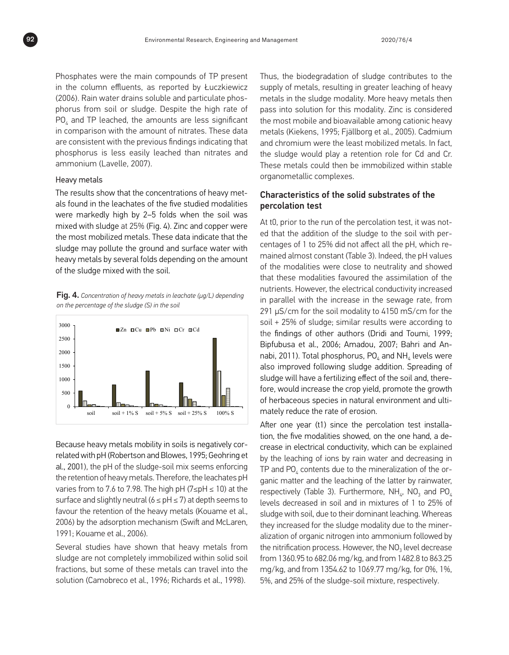Phosphates were the main compounds of TP present in the column effluents, as reported by Łuczkiewicz (2006). Rain water drains soluble and particulate phosphorus from soil or sludge. Despite the high rate of  $\overline{\text{PO}}_4$  and TP leached, the amounts are less significant in comparison with the amount of nitrates. These data are consistent with the previous findings indicating that phosphorus is less easily leached than nitrates and ammonium (Lavelle, 2007). The concentrations of the concentrations of the leaders of the leaders of the leader

#### Heavy metals and copper were the most mobilized metals. The most mobilized metals were that mobilized metals. The mobilized metals of  $\alpha$

The results show that the concentrations of heavy met- $Ch$ als found in the leachates of the five studied modalities **pe** the community contracts of the the solution of the person of the soil was mixed with sludge at 25% (Fig. 4). Zinc and copper were the most mobilized metals. These data indicate that the and the heavy metals (Kongress) by the and copper mere sludge may pollute the ground and surface water with cer heavy metals by several folds depending on the amount of the sludge mixed with the soil. Thus, the biodegradation of the supply of the supply of  $\frac{1}{2}$ The results show that the concentratio were markedly high by 2–5 folds when the soil was the most mobilized me  $17$  status solid solid solid solutions, but some of the solution  $\mathbf{r}$  $\overline{a}$  in the sludge model with the solution.

22 metals (Kiekens, 1995; Fjällborg et al., 2005). Cadmium and chromium were the least **Fig. 4.** Concentration of heavy metals in leachate ( $\mu$ g/L) depending  $\frac{1}{2}$ on the percentage of the sludge (S) in the soil



7 2006) by the adsorption mechanism (Swift and McLaren, 30 *Characteristics of the solid substrates of the percolation test*  Because heavy metals mobility in soils is negatively cor- $32001$ , the rul of the plushes as the percolation test percolation of the sludge that the sludge sludge sludge sludge sludge sludge sludge sludge sludge sludge sludge sludge sludge sludge sludge sludge sludge sludge slud al., 2001), the pH of the sludge-soil mix seems enforcing  $\hskip 1.6cm \text{Tp}$ the retention of heavy metals. Therefore, the leachates pH  $_{\rm{0.41}}$  $35$  showed that the assimilation of the assimilation of the assimilation of the nutrients. However, the nutrients. However, the nutrients. However, the nutrients. However, the nutrients. However, the nutrients. However, varies from to 7.6 to 7.98. The high pH (7≤pH ≤ 10) at the  $\qquad$  <sub>res</sub> surface and slightly neutral (6 ≤ pH ≤ 7) at depth seems to  $|_{\text{PV}}$  $\frac{3}{2}$  according to the finding to the finding of other authors (Dridi and Toumisa et al., 2006; Bipfulusa et al., 2006; Bipfulusa et al., 2006; Bipfulusa et al., 2006; Bipfulusa et al., 2006; Bipfulusa et al., 2006; B favour the retention of the heavy metals (Kouame et al., s<sub>olu</sub> related with pH (Robertson and Blowes, 1995; Geohring et 1991; Kouame et al., 2006).

> Several studies have shown that heavy metals from sludge are not completely immobilized within solid soil fractions, but some of these metals can travel into the solution (Camobreco et al., 1996; Richards et al., 1998).

Thus, the biodegradation of sludge contributes to the supply of metals, resulting in greater leaching of heavy metals in the sludge modality. More heavy metals then pass into solution for this modality. Zinc is considered the most mobile and bioavailable among cationic heavy metals (Kiekens, 1995; Fjällborg et al., 2005). Cadmium and chromium were the least mobilized metals. In fact, the sludge would play a retention role for Cd and Cr. These metals could then be immobilized within stable organometallic complexes.  $\overline{\phantom{a}}$  five studies were mathematically high by  $\overline{\phantom{a}}$ 

### Characteristics of the solid substrates of the percolation test

At t0, prior to the run of the percolation test, it was noted that the addition of the sludge to the soil with percentages of 1 to 25% did not affect all the pH, which remained almost constant (Table 3). Indeed, the pH values of the modalities were close to neutrality and showed that these modalities favoured the assimilation of the nutrients. However, the electrical conductivity increased in parallel with the increase in the sewage rate, from 291 μS/cm for the soil modality to 4150 mS/cm for the soil + 25% of sludge; similar results were according to the findings of other authors (Dridi and Toumi, 1999; Bipfubusa et al., 2006; Amadou, 2007; Bahri and Annabi, 2011). Total phosphorus,  $PO<sub>4</sub>$  and NH<sub>4</sub> levels were also improved following sludge addition. Spreading of sludge will have a fertilizing effect of the soil and, therefore, would increase the crop yield, promote the growth of herbaceous species in natural environment and ultimately reduce the rate of erosion. 21 for this modality. Zinc is considered the most mobile and bioavailable among cationic heavy

> After one year (t1) since the percolation test installation, the five modalities showed, on the one hand, a decrease in electrical conductivity, which can be explained by the leaching of ions by rain water and decreasing in TP and  $PO<sub>4</sub>$  contents due to the mineralization of the organic matter and the leaching of the latter by rainwater, respectively (Table 3). Furthermore,  $NH_{4}$ , NO<sub>3</sub> and PO<sub>4</sub> levels decreased in soil and in mixtures of 1 to 25% of sludge with soil, due to their dominant leaching. Whereas they increased for the sludge modality due to the mineralization of organic nitrogen into ammonium followed by the nitrification process. However, the  $NO<sub>3</sub>$  level decrease from 1360.95 to 682.06 mg/kg, and from 1482.8 to 863.25 mg/kg, and from 1354.62 to 1069.77 mg/kg, for 0%, 1%, 5%, and 25% of the sludge-soil mixture, respectively.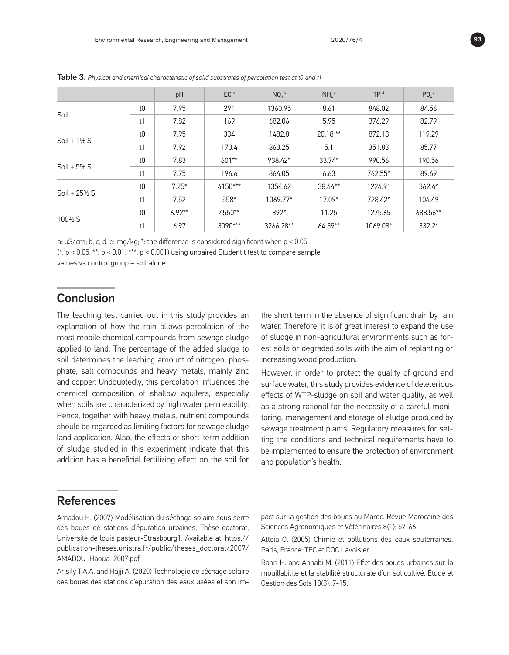|                 |    | pH       | EC <sup>a</sup> | $NO3$ <sub>b</sub> | $NH4$ c   | TP <sup>d</sup> | $PO6$ <sup>e</sup> |
|-----------------|----|----------|-----------------|--------------------|-----------|-----------------|--------------------|
| Soil            | t0 | 7.95     | 291             | 1360.95            | 8.61      | 848.02          | 84.56              |
|                 | t1 | 7.82     | 169             | 682.06             | 5.95      | 376.29          | 82.79              |
|                 | t0 | 7.95     | 334             | 1482.8             | $20.18**$ | 872.18          | 119.29             |
| $Soil + 1% S$   | t1 | 7.92     | 170.4           | 863.25             | 5.1       | 351.83          | 85.77              |
| $Soil + 5% S$   | t0 | 7.83     | $601**$         | 938.42*            | $33.74*$  | 990.56          | 190.56             |
|                 | t1 | 7.75     | 196.6           | 864.05             | 6.63      | 762.55*         | 89.69              |
| Soil + $25\%$ S | t0 | $7.25*$  | $4150***$       | 1354.62            | 38.44**   | 1224.91         | $362.4*$           |
|                 | t1 | 7.52     | 558*            | 1069.77*           | $17.09*$  | 728.42*         | 104.49             |
|                 | t0 | $6.92**$ | 4550**          | $892*$             | 11.25     | 1275.65         | 688.56**           |
| 100% S          | t1 | 6.97     | $3090***$       | 3266.28**          | $64.39**$ | 1069.08*        | $332.2*$           |

Table 3. *Physical and chemical characteristic of solid substrates of percolation test at t0 and t1*

a: µS/cm; b, c, d, e: mg/kg; \*: the difference is considered significant when p < 0.05

 $(*, p < 0.05; **$ ,  $p < 0.01,***$ ,  $p < 0.001$ ) using unpaired Student t test to compare sample

values vs control group – soil alone

# Conclusion

The leaching test carried out in this study provides an explanation of how the rain allows percolation of the most mobile chemical compounds from sewage sludge applied to land. The percentage of the added sludge to soil determines the leaching amount of nitrogen, phosphate, salt compounds and heavy metals, mainly zinc and copper. Undoubtedly, this percolation influences the chemical composition of shallow aquifers, especially when soils are characterized by high water permeability. Hence, together with heavy metals, nutrient compounds should be regarded as limiting factors for sewage sludge land application. Also, the effects of short-term addition of sludge studied in this experiment indicate that this addition has a beneficial fertilizing effect on the soil for

the short term in the absence of significant drain by rain water. Therefore, it is of great interest to expand the use of sludge in non-agricultural environments such as forest soils or degraded soils with the aim of replanting or increasing wood production.

However, in order to protect the quality of ground and surface water, this study provides evidence of deleterious effects of WTP-sludge on soil and water quality, as well as a strong rational for the necessity of a careful monitoring, management and storage of sludge produced by sewage treatment plants. Regulatory measures for setting the conditions and technical requirements have to be implemented to ensure the protection of environment and population's health.

# References

Amadou H. (2007) Modélisation du séchage solaire sous serre des boues de stations d'épuration urbaines, Thèse doctorat, Université de louis pasteur-Strasbourg1. Available at: https:// publication-theses.unistra.fr/public/theses\_doctorat/2007/ AMADOU\_Haoua\_2007.pdf

Arisily T.A.A. and Hajji A. (2020) Technologie de séchage solaire des boues des stations d'épuration des eaux usées et son impact sur la gestion des boues au Maroc. Revue Marocaine des Sciences Agronomiques et Vétérinaires 8(1): 57-66.

Atteia O. (2005) Chimie et pollutions des eaux souterraines, Paris, France: TEC et DOC Lavoisier.

Bahri H. and Annabi M. (2011) Effet des boues urbaines sur la mouillabilité et la stabilité structurale d'un sol cultivé. Étude et Gestion des Sols 18(3): 7-15.

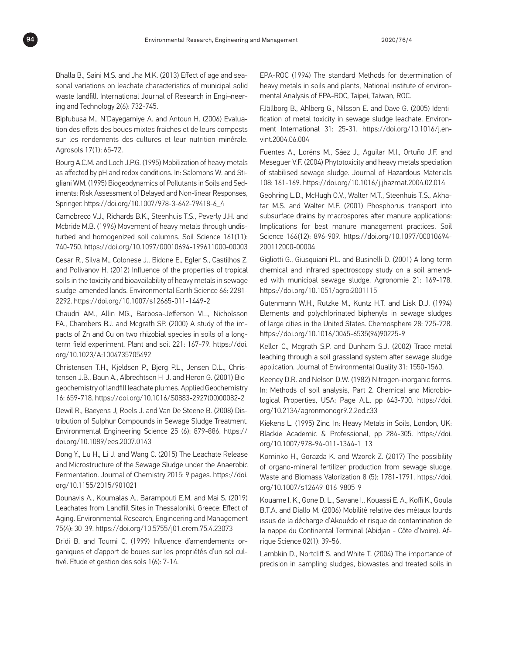Bhalla B., Saini M.S. and Jha M.K. (2013) Effect of age and seasonal variations on leachate characteristics of municipal solid waste landfill. International Journal of Research in Engi-neering and Technology 2(6): 732-745.

Bipfubusa M., N'Dayegamiye A. and Antoun H. (2006) Evaluation des effets des boues mixtes fraiches et de leurs composts sur les rendements des cultures et leur nutrition minérale. Agrosols 17(1): 65-72.

Bourg A.C.M. and Loch J.P.G. (1995) Mobilization of heavy metals as affected by pH and redox conditions. In: Salomons W. and Stigliani WM. (1995) Biogeodynamics of Pollutants in Soils and Sediments: Risk Assessment of Delayed and Non-linear Responses, Springer. [https://doi.org/10.1007/978-3-642-79418-6\\_4](https://doi.org/10.1007/978-3-642-79418-6_4)

Camobreco V.J., Richards B.K., Steenhuis T.S., Peverly J.H. and Mcbride M.B. (1996) Movement of heavy metals through undisturbed and homogenized soil columns. Soil Science 161(11): 740-750. <https://doi.org/10.1097/00010694-199611000-00003>

Cesar R., Silva M., Colonese J., Bidone E., Egler S., Castilhos Z. and Polivanov H. (2012) Influence of the properties of tropical soils in the toxicity and bioavailability of heavy metals in sewage sludge-amended lands. Environmental Earth Science 66: 2281- 2292.<https://doi.org/10.1007/s12665-011-1449-2>

Chaudri AM., Allin MG., Barbosa-Jefferson VL., Nicholsson FA., Chambers BJ. and Mcgrath SP. (2000) A study of the impacts of Zn and Cu on two rhizobial species in soils of a longterm field experiment. Plant and soil 221: 167-79. [https://doi.](https://doi.org/10.1023/A:1004735705492) [org/10.1023/A:1004735705492](https://doi.org/10.1023/A:1004735705492)

Christensen T.H., Kjeldsen P., Bjerg P.L., Jensen D.L., Christensen J.B., Baun A., Albrechtsen H-J. and Heron G. (2001) Biogeochemistry of landfill leachate plumes. Applied Geochemistry 16: 659-718. [https://doi.org/10.1016/S0883-2927\(00\)00082-2](https://doi.org/10.1016/S0883-2927(00)00082-2)

Dewil R., Baeyens J, Roels J. and Van De Steene B. (2008) Distribution of Sulphur Compounds in Sewage Sludge Treatment. Environmental Engineering Science 25 (6): 879-886. [https://](https://doi.org/10.1089/ees.2007.0143) [doi.org/10.1089/ees.2007.0143](https://doi.org/10.1089/ees.2007.0143)

Dong Y., Lu H., Li J. and Wang C. (2015) The Leachate Release and Microstructure of the Sewage Sludge under the Anaerobic Fermentation. Journal of Chemistry 2015: 9 pages. [https://doi.](https://doi.org/10.1155/2015/901021) [org/10.1155/2015/901021](https://doi.org/10.1155/2015/901021)

Dounavis A., Koumalas A., Barampouti E.M. and Mai S. (2019) Leachates from Landfill Sites in Thessaloniki, Greece: Effect of Aging. Environmental Research, Engineering and Management 75(4): 30-39. <https://doi.org/10.5755/j01.erem.75.4.23073>

Dridi B. and Toumi C. (1999) Influence d'amendements organiques et d'apport de boues sur les propriétés d'un sol cultivé. Etude et gestion des sols 1(6): 7-14.

EPA-ROC (1994) The standard Methods for determination of heavy metals in soils and plants, National institute of environmental Analysis of EPA-ROC, Taipei, Taiwan, ROC.

FJällborg B., Ahlberg G., Nilsson E. and Dave G. (2005) Identification of metal toxicity in sewage sludge leachate. Environment International 31: 25-31. [https://doi.org/10.1016/j.en](https://doi.org/10.1016/j.envint.2004.06.004)[vint.2004.06.004](https://doi.org/10.1016/j.envint.2004.06.004)

Fuentes A., Loréns M., Sáez J., Aguilar M.I., Ortuño J.F. and Meseguer V.F. (2004) Phytotoxicity and heavy metals speciation of stabilised sewage sludge. Journal of Hazardous Materials 108: 161-169.<https://doi.org/10.1016/j.jhazmat.2004.02.014>

Geohring L.D., McHugh O.V., Walter M.T., Steenhuis T.S., Akhatar M.S. and Walter M.F. (2001) Phosphorus transport into subsurface drains by macrospores after manure applications: Implications for best manure management practices. Soil Science 166(12): 896-909. [https://doi.org/10.1097/00010694-](https://doi.org/10.1097/00010694-200112000-00004) [200112000-00004](https://doi.org/10.1097/00010694-200112000-00004)

Gigliotti G., Giusquiani P.L. and Businelli D. (2001) A long-term chemical and infrared spectroscopy study on a soil amended with municipal sewage sludge. Agronomie 21: 169-178. <https://doi.org/10.1051/agro:2001115>

Gutenmann W.H., Rutzke M., Kuntz H.T. and Lisk D.J. (1994) Elements and polychlorinated biphenyls in sewage sludges of large cities in the United States. Chemosphere 28: 725-728. [https://doi.org/10.1016/0045-6535\(94\)90225-9](https://doi.org/10.1016/0045-6535(94)90225-9)

Keller C., Mcgrath S.P. and Dunham S.J. (2002) Trace metal leaching through a soil grassland system after sewage sludge application. Journal of Environmental Quality 31: 1550-1560.

Keeney D.R. and Nelson D.W. (1982) Nitrogen-inorganic forms. In: Methods of soil analysis, Part 2. Chemical and Microbiological Properties, USA: Page A.L, pp 643-700. [https://doi.](https://doi.org/10.2134/agronmonogr9.2.2ed.c33) [org/10.2134/agronmonogr9.2.2ed.c33](https://doi.org/10.2134/agronmonogr9.2.2ed.c33)

Kiekens L. (1995) Zinc. In: Heavy Metals in Soils, London, UK: Blackie Academic & Professional, pp 284-305. [https://doi.](https://doi.org/10.1007/978-94-011-1344-1_13) [org/10.1007/978-94-011-1344-1\\_13](https://doi.org/10.1007/978-94-011-1344-1_13)

Kominko H., Gorazda K. and Wzorek Z. (2017) The possibility of organo-mineral fertilizer production from sewage sludge. Waste and Biomass Valorization 8 (5): 1781-1791. [https://doi.](https://doi.org/10.1007/s12649-016-9805-9) [org/10.1007/s12649-016-9805-9](https://doi.org/10.1007/s12649-016-9805-9)

Kouame I. K., Gone D. L., Savane I., Kouassi E. A., Koffi K., Goula B.T.A. and Diallo M. (2006) Mobilité relative des métaux lourds issus de la décharge d'Akouédo et risque de contamination de la nappe du Continental Terminal (Abidjan - Côte d'Ivoire). Afrique Science 02(1): 39-56.

Lambkin D., Nortcliff S. and White T. (2004) The importance of precision in sampling sludges, biowastes and treated soils in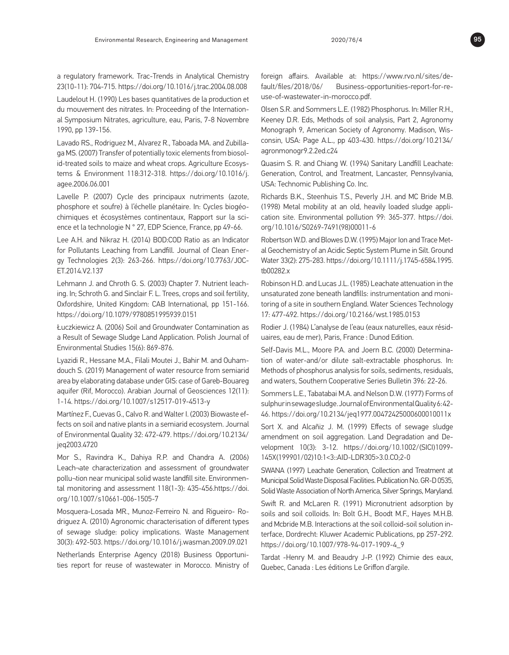a regulatory framework. Trac-Trends in Analytical Chemistry 23(10-11): 704-715.<https://doi.org/10.1016/j.trac.2004.08.008>

Laudelout H. (1990) Les bases quantitatives de la production et du mouvement des nitrates. In: Proceeding of the International Symposium Nitrates, agriculture, eau, Paris, 7-8 Novembre 1990, pp 139-156.

Lavado RS., Rodriguez M., Alvarez R., Taboada MA. and Zubillaga MS. (2007) Transfer of potentially toxic elements from biosolid-treated soils to maize and wheat crops. Agriculture Ecosystems & Environment 118:312-318. [https://doi.org/10.1016/j.](https://doi.org/10.1016/j.agee.2006.06.001) [agee.2006.06.001](https://doi.org/10.1016/j.agee.2006.06.001)

Lavelle P. (2007) Cycle des principaux nutriments (azote, phosphore et soufre) à l'échelle planétaire. In: Cycles biogéochimiques et écosystèmes continentaux, Rapport sur la science et la technologie N ° 27, EDP Science, France, pp 49-66.

Lee A.H. and Nikraz H. (2014) BOD:COD Ratio as an Indicator for Pollutants Leaching from Landfill. Journal of Clean Energy Technologies 2(3): 263-266. [https://doi.org/10.7763/JOC-](https://doi.org/10.7763/JOCET.2014.V2.137)[ET.2014.V2.137](https://doi.org/10.7763/JOCET.2014.V2.137)

Lehmann J. and Chroth G. S. (2003) Chapter 7. Nutrient leaching. In; Schroth G. and Sinclair F. L. Trees, crops and soil fertility, Oxfordshire, United Kingdom: CAB International, pp 151-166. <https://doi.org/10.1079/9780851995939.0151>

Łuczkiewicz A. (2006) Soil and Groundwater Contamination as a Result of Sewage Sludge Land Application. Polish Journal of Environmental Studies 15(6): 869-876.

Lyazidi R., Hessane M.A., Filali Moutei J., Bahir M. and Ouhamdouch S. (2019) Management of water resource from semiarid area by elaborating database under GIS: case of Gareb-Bouareg aquifer (Rif, Morocco). Arabian Journal of Geosciences 12(11): 1-14. <https://doi.org/10.1007/s12517-019-4513-y>

Martínez F., Cuevas G., Calvo R. and Walter I. (2003) Biowaste effects on soil and native plants in a semiarid ecosystem. Journal of Environmental Quality 32: 472-479. [https://doi.org/10.2134/](https://doi.org/10.2134/jeq2003.4720) [jeq2003.4720](https://doi.org/10.2134/jeq2003.4720)

Mor S., Ravindra K., Dahiya R.P. and Chandra A. (2006) Leach¬ate characterization and assessment of groundwater pollu¬tion near municipal solid waste landfill site. Environmental monitoring and assessment 118(1-3): 435-456.[https://doi.](https://doi.org/10.1007/s10661-006-1505-7) [org/10.1007/s10661-006-1505-7](https://doi.org/10.1007/s10661-006-1505-7)

Mosquera-Losada MR., Munoz-Ferreiro N. and Rigueiro- Rodriguez A. (2010) Agronomic characterisation of different types of sewage sludge: policy implications. Waste Management 30(3): 492-503. <https://doi.org/10.1016/j.wasman.2009.09.021>

Netherlands Enterprise Agency (2018) Business Opportunities report for reuse of wastewater in Morocco. Ministry of foreign affairs. Available at: https://www.rvo.nl/sites/default/files/2018/06/ Business-opportunities-report-for-reuse-of-wastewater-in-morocco.pdf.

Olsen S.R. and Sommers L.E. (1982) Phosphorus. In: Miller R.H., Keeney D.R. Eds, Methods of soil analysis, Part 2, Agronomy Monograph 9, American Society of Agronomy. Madison, Wisconsin, USA: Page A.L., pp 403-430. [https://doi.org/10.2134/](https://doi.org/10.2134/agronmonogr9.2.2ed.c24) [agronmonogr9.2.2ed.c24](https://doi.org/10.2134/agronmonogr9.2.2ed.c24)

Quasim S. R. and Chiang W. (1994) Sanitary Landfill Leachate: Generation, Control, and Treatment, Lancaster, Pennsylvania, USA: Technomic Publishing Co. Inc.

Richards B.K., Steenhuis T.S., Peverly J.H. and MC Bride M.B. (1998) Metal mobility at an old, heavily loaded sludge application site. Environmental pollution 99: 365-377. [https://doi.](https://doi.org/10.1016/S0269-7491(98)00011-6) [org/10.1016/S0269-7491\(98\)00011-6](https://doi.org/10.1016/S0269-7491(98)00011-6)

Robertson W.D. and Blowes D.W. (1995) Major Ion and Trace Metal Geochemistry of an Acidic Septic System Plume in Silt. Ground Water 33(2): 275-283. [https://doi.org/10.1111/j.1745-6584.1995.](https://doi.org/10.1111/j.1745-6584.1995.tb00282.x) [tb00282.x](https://doi.org/10.1111/j.1745-6584.1995.tb00282.x)

Robinson H.D. and Lucas J.L. (1985) Leachate attenuation in the unsaturated zone beneath landfills: instrumentation and monitoring of a site in southern England. Water Sciences Technology 17: 477-492.<https://doi.org/10.2166/wst.1985.0153>

Rodier J. (1984) L'analyse de l'eau (eaux naturelles, eaux résiduaires, eau de mer), Paris, France : Dunod Edition.

Self-Davis M.L., Moore P.A. and Joern B.C. (2000) Determination of water-and/or dilute salt-extractable phosphorus. In: Methods of phosphorus analysis for soils, sediments, residuals, and waters, Southern Cooperative Series Bulletin 396: 22-26.

Sommers L.E., Tabatabai M.A. and Nelson D.W. (1977) Forms of sulphur in sewage sludge. Journal of Environmental Quality 6: 42- 46. <https://doi.org/10.2134/jeq1977.00472425000600010011x>

Sort X. and Alcañiz J. M. (1999) Effects of sewage sludge amendment on soil aggregation. Land Degradation and Development 10(3): 3-12. [https://doi.org/10.1002/\(SICI\)1099-](https://doi.org/10.1002/(SICI)1099-145X(199901/02)10:1%3C3::AID-LDR305%3E3.0.CO;2-0) [145X\(199901/02\)10:1<3::AID-LDR305>3.0.CO;2-0](https://doi.org/10.1002/(SICI)1099-145X(199901/02)10:1%3C3::AID-LDR305%3E3.0.CO;2-0)

SWANA (1997) Leachate Generation, Collection and Treatment at Municipal Solid Waste Disposal Facilities. Publication No. GR-D 0535, Solid Waste Association of North America, Silver Springs, Maryland.

Swift R. and McLaren R. (1991) Micronutrient adsorption by soils and soil colloids. In: Bolt G.H., Boodt M.F., Hayes M.H.B. and Mcbride M.B. Interactions at the soil colloid-soil solution interface, Dordrecht: Kluwer Academic Publications, pp 257-292. [https://doi.org/10.1007/978-94-017-1909-4\\_9](https://doi.org/10.1007/978-94-017-1909-4_9)

Tardat -Henry M. and Beaudry J-P. (1992) Chimie des eaux, Quebec, Canada : Les éditions Le Griffon d'argile.